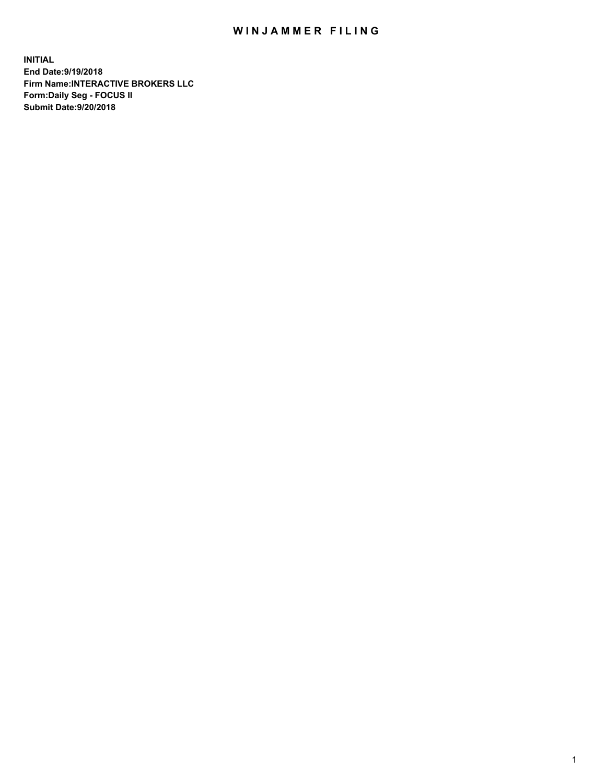## WIN JAMMER FILING

**INITIAL End Date:9/19/2018 Firm Name:INTERACTIVE BROKERS LLC Form:Daily Seg - FOCUS II Submit Date:9/20/2018**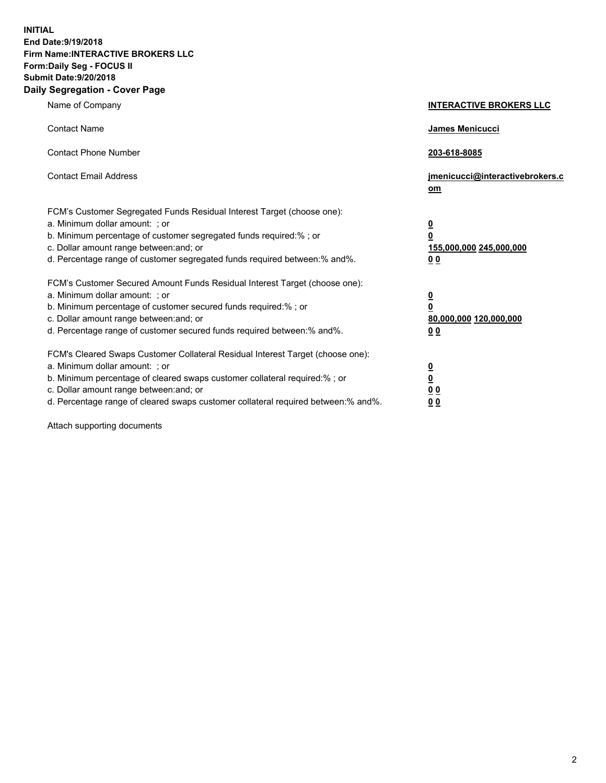**INITIAL End Date:9/19/2018 Firm Name:INTERACTIVE BROKERS LLC Form:Daily Seg - FOCUS II Submit Date:9/20/2018 Daily Segregation - Cover Page**

| Name of Company                                                                                                                                                                                                                                                                                                                | <b>INTERACTIVE BROKERS LLC</b>                                                                  |
|--------------------------------------------------------------------------------------------------------------------------------------------------------------------------------------------------------------------------------------------------------------------------------------------------------------------------------|-------------------------------------------------------------------------------------------------|
| <b>Contact Name</b>                                                                                                                                                                                                                                                                                                            | James Menicucci                                                                                 |
| <b>Contact Phone Number</b>                                                                                                                                                                                                                                                                                                    | 203-618-8085                                                                                    |
| <b>Contact Email Address</b>                                                                                                                                                                                                                                                                                                   | jmenicucci@interactivebrokers.c<br>om                                                           |
| FCM's Customer Segregated Funds Residual Interest Target (choose one):<br>a. Minimum dollar amount: ; or<br>b. Minimum percentage of customer segregated funds required:% ; or<br>c. Dollar amount range between: and; or<br>d. Percentage range of customer segregated funds required between:% and%.                         | $\overline{\mathbf{0}}$<br>$\overline{\mathbf{0}}$<br>155,000,000 245,000,000<br>0 <sub>0</sub> |
| FCM's Customer Secured Amount Funds Residual Interest Target (choose one):<br>a. Minimum dollar amount: ; or<br>b. Minimum percentage of customer secured funds required:% ; or<br>c. Dollar amount range between: and; or<br>d. Percentage range of customer secured funds required between:% and%.                           | $\overline{\mathbf{0}}$<br>0<br>80,000,000 120,000,000<br>0 <sub>0</sub>                        |
| FCM's Cleared Swaps Customer Collateral Residual Interest Target (choose one):<br>a. Minimum dollar amount: ; or<br>b. Minimum percentage of cleared swaps customer collateral required:% ; or<br>c. Dollar amount range between: and; or<br>d. Percentage range of cleared swaps customer collateral required between:% and%. | $\overline{\mathbf{0}}$<br><u>0</u><br>$\underline{0}$ $\underline{0}$<br>00                    |

Attach supporting documents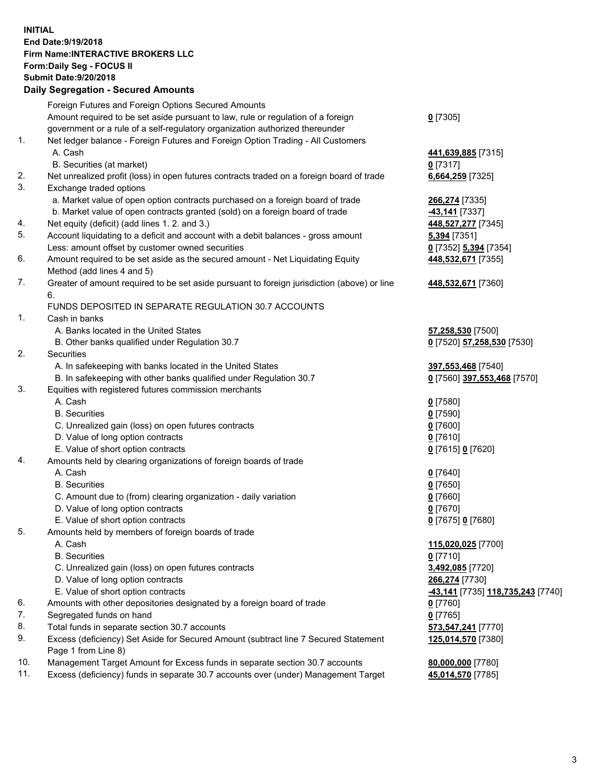## **INITIAL End Date:9/19/2018 Firm Name:INTERACTIVE BROKERS LLC Form:Daily Seg - FOCUS II Submit Date:9/20/2018 Daily Segregation - Secured Amounts**

|     | Dany Ocgregation - oceaned Anioante                                                               |                                                 |
|-----|---------------------------------------------------------------------------------------------------|-------------------------------------------------|
|     | Foreign Futures and Foreign Options Secured Amounts                                               |                                                 |
|     | Amount required to be set aside pursuant to law, rule or regulation of a foreign                  | $0$ [7305]                                      |
|     | government or a rule of a self-regulatory organization authorized thereunder                      |                                                 |
| 1.  | Net ledger balance - Foreign Futures and Foreign Option Trading - All Customers                   |                                                 |
|     | A. Cash                                                                                           | 441,639,885 [7315]                              |
|     | B. Securities (at market)                                                                         | $0$ [7317]                                      |
| 2.  | Net unrealized profit (loss) in open futures contracts traded on a foreign board of trade         | 6,664,259 [7325]                                |
| 3.  | Exchange traded options                                                                           |                                                 |
|     | a. Market value of open option contracts purchased on a foreign board of trade                    | 266,274 [7335]                                  |
|     | b. Market value of open contracts granted (sold) on a foreign board of trade                      | 43,141 [7337]                                   |
| 4.  | Net equity (deficit) (add lines 1.2. and 3.)                                                      | 448,527,277 [7345]                              |
| 5.  | Account liquidating to a deficit and account with a debit balances - gross amount                 | <b>5,394</b> [7351]                             |
|     | Less: amount offset by customer owned securities                                                  | 0 [7352] 5,394 [7354]                           |
| 6.  | Amount required to be set aside as the secured amount - Net Liquidating Equity                    | 448,532,671 [7355]                              |
|     | Method (add lines 4 and 5)                                                                        |                                                 |
| 7.  | Greater of amount required to be set aside pursuant to foreign jurisdiction (above) or line<br>6. | 448,532,671 [7360]                              |
|     | FUNDS DEPOSITED IN SEPARATE REGULATION 30.7 ACCOUNTS                                              |                                                 |
| 1.  | Cash in banks                                                                                     |                                                 |
|     | A. Banks located in the United States                                                             | 57,258,530 [7500]                               |
|     | B. Other banks qualified under Regulation 30.7                                                    | 0 [7520] 57,258,530 [7530]                      |
| 2.  | Securities                                                                                        |                                                 |
|     | A. In safekeeping with banks located in the United States                                         | 397,553,468 [7540]                              |
|     | B. In safekeeping with other banks qualified under Regulation 30.7                                | 0 [7560] 397,553,468 [7570]                     |
| 3.  | Equities with registered futures commission merchants                                             |                                                 |
|     | A. Cash                                                                                           | $0$ [7580]                                      |
|     | <b>B.</b> Securities                                                                              | $0$ [7590]                                      |
|     | C. Unrealized gain (loss) on open futures contracts                                               | $0$ [7600]                                      |
|     | D. Value of long option contracts                                                                 | $0$ [7610]                                      |
|     | E. Value of short option contracts                                                                | 0 [7615] 0 [7620]                               |
| 4.  | Amounts held by clearing organizations of foreign boards of trade                                 |                                                 |
|     | A. Cash                                                                                           | $0$ [7640]                                      |
|     | <b>B.</b> Securities                                                                              | $0$ [7650]                                      |
|     | C. Amount due to (from) clearing organization - daily variation                                   | $0$ [7660]                                      |
|     | D. Value of long option contracts                                                                 | $0$ [7670]                                      |
|     | E. Value of short option contracts                                                                | 0 [7675] 0 [7680]                               |
| 5.  | Amounts held by members of foreign boards of trade                                                |                                                 |
|     | A. Cash                                                                                           | 115,020,025 [7700]                              |
|     | <b>B.</b> Securities                                                                              | $0$ [7710]                                      |
|     | C. Unrealized gain (loss) on open futures contracts                                               | 3,492,085 [7720]                                |
|     | D. Value of long option contracts                                                                 | 266,274 [7730]                                  |
|     | E. Value of short option contracts                                                                | <u>-43,141</u> [7735] <u>118,735,243</u> [7740] |
| 6.  | Amounts with other depositories designated by a foreign board of trade                            | $0$ [7760]                                      |
| 7.  | Segregated funds on hand                                                                          | $0$ [7765]                                      |
| 8.  | Total funds in separate section 30.7 accounts                                                     | 573,547,241 [7770]                              |
| 9.  | Excess (deficiency) Set Aside for Secured Amount (subtract line 7 Secured Statement               | 125,014,570 [7380]                              |
|     | Page 1 from Line 8)                                                                               |                                                 |
| 10. | Management Target Amount for Excess funds in separate section 30.7 accounts                       | 80,000,000 [7780]                               |
| 11. | Excess (deficiency) funds in separate 30.7 accounts over (under) Management Target                | 45,014,570 [7785]                               |
|     |                                                                                                   |                                                 |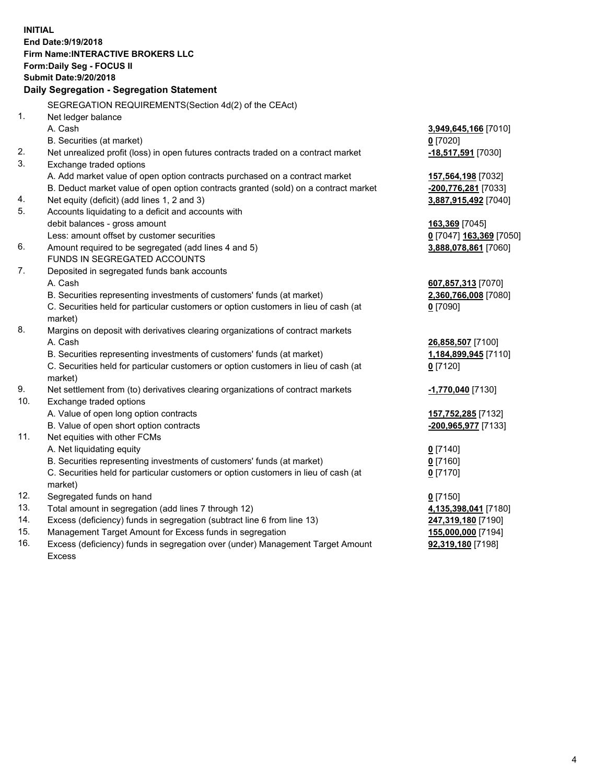**INITIAL End Date:9/19/2018 Firm Name:INTERACTIVE BROKERS LLC Form:Daily Seg - FOCUS II Submit Date:9/20/2018 Daily Segregation - Segregation Statement** SEGREGATION REQUIREMENTS(Section 4d(2) of the CEAct) 1. Net ledger balance A. Cash **3,949,645,166** [7010] B. Securities (at market) **0** [7020] 2. Net unrealized profit (loss) in open futures contracts traded on a contract market **-18,517,591** [7030] 3. Exchange traded options A. Add market value of open option contracts purchased on a contract market **157,564,198** [7032] B. Deduct market value of open option contracts granted (sold) on a contract market **-200,776,281** [7033] 4. Net equity (deficit) (add lines 1, 2 and 3) **3,887,915,492** [7040] 5. Accounts liquidating to a deficit and accounts with debit balances - gross amount **163,369** [7045] Less: amount offset by customer securities **0** [7047] **163,369** [7050] 6. Amount required to be segregated (add lines 4 and 5) **3,888,078,861** [7060] FUNDS IN SEGREGATED ACCOUNTS 7. Deposited in segregated funds bank accounts A. Cash **607,857,313** [7070] B. Securities representing investments of customers' funds (at market) **2,360,766,008** [7080] C. Securities held for particular customers or option customers in lieu of cash (at market) **0** [7090] 8. Margins on deposit with derivatives clearing organizations of contract markets A. Cash **26,858,507** [7100] B. Securities representing investments of customers' funds (at market) **1,184,899,945** [7110] C. Securities held for particular customers or option customers in lieu of cash (at market) **0** [7120] 9. Net settlement from (to) derivatives clearing organizations of contract markets **-1,770,040** [7130] 10. Exchange traded options A. Value of open long option contracts **157,752,285** [7132] B. Value of open short option contracts **-200,965,977** [7133] 11. Net equities with other FCMs A. Net liquidating equity **0** [7140] B. Securities representing investments of customers' funds (at market) **0** [7160] C. Securities held for particular customers or option customers in lieu of cash (at market) **0** [7170] 12. Segregated funds on hand **0** [7150] 13. Total amount in segregation (add lines 7 through 12) **4,135,398,041** [7180] 14. Excess (deficiency) funds in segregation (subtract line 6 from line 13) **247,319,180** [7190] 15. Management Target Amount for Excess funds in segregation **155,000,000** [7194] **92,319,180** [7198]

16. Excess (deficiency) funds in segregation over (under) Management Target Amount Excess